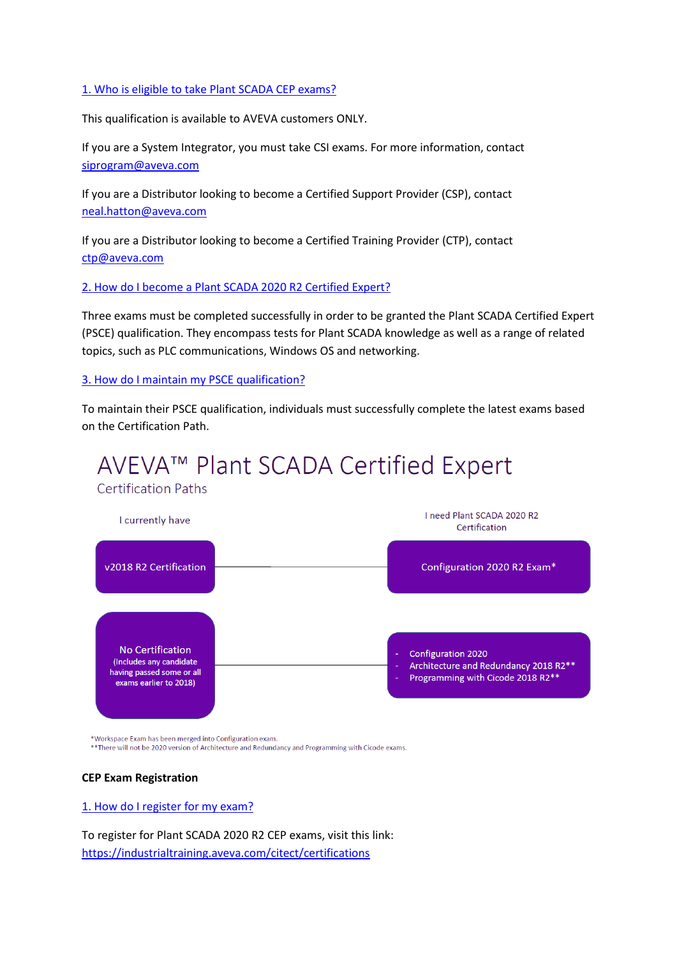#### 1. Who is eligible to take Plant SCADA CEP exams?

This qualification is available to AVEVA customers ONLY.

If you are a System Integrator, you must take CSI exams. For more information, contact [siprogram@aveva.com](mailto:siprogram@aveva.com) 

If you are a Distributor looking to become a Certified Support Provider (CSP), contact [neal.hatton@aveva.com](mailto:neal.hatton@aveva.com) 

If you are a Distributor looking to become a Certified Training Provider (CTP), contact [ctp@aveva.com](mailto:ctp@aveva.com) 

#### 2. How do I become a Plant SCADA 2020 R2 Certified Expert?

Three exams must be completed successfully in order to be granted the Plant SCADA Certified Expert (PSCE) qualification. They encompass tests for Plant SCADA knowledge as well as a range of related topics, such as PLC communications, Windows OS and networking.

#### 3. How do I maintain my PSCE qualification?

To maintain their PSCE qualification, individuals must successfully complete the latest exams based on the Certification Path.



\*Workspace Exam has been merged into Configuration exam.

\*\* There will not be 2020 version of Architecture and Redundancy and Programming with Cicode exams.

#### **CEP Exam Registration**

#### 1. How do I register for my exam?

To register for Plant SCADA 2020 R2 CEP exams, visit this link: <https://industrialtraining.aveva.com/citect/certifications>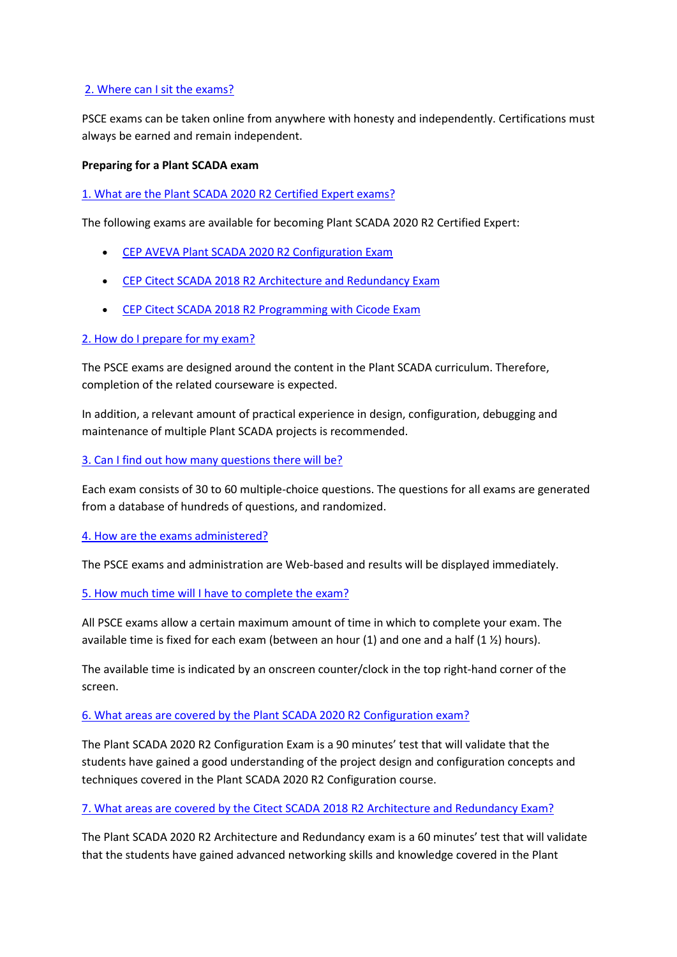## 2. Where can I sit the exams?

PSCE exams can be taken online from anywhere with honesty and independently. Certifications must always be earned and remain independent.

## **Preparing for a Plant SCADA exam**

1. What are the Plant SCADA 2020 R2 Certified Expert exams?

The following exams are available for becoming Plant SCADA 2020 R2 Certified Expert:

- [CEP AVEVA Plant SCADA 2020 R2 Configuration Exam](https://industrialtraining.aveva.com/citect/portal/catalog.cfm?fuseaction=coursedetails&calendarID=158&courseContentID=20897)
- CEP Citect SCADA [2018 R2 Architecture and Redundancy Exam](https://industrialtraining.aveva.com/citect/portal/catalog.cfm?fuseaction=coursedetails&calendarID=158&courseContentID=17139)
- CEP Citect SCADA [2018 R2 Programming with Cicode Exam](https://industrialtraining.aveva.com/citect/portal/catalog.cfm?fuseaction=coursedetails&calendarID=158&courseContentID=17138)

## 2. How do I prepare for my exam?

The PSCE exams are designed around the content in the Plant SCADA curriculum. Therefore, completion of the related courseware is expected.

In addition, a relevant amount of practical experience in design, configuration, debugging and maintenance of multiple Plant SCADA projects is recommended.

3. Can I find out how many questions there will be?

Each exam consists of 30 to 60 multiple-choice questions. The questions for all exams are generated from a database of hundreds of questions, and randomized.

# 4. How are the exams administered?

The PSCE exams and administration are Web-based and results will be displayed immediately.

5. How much time will I have to complete the exam?

All PSCE exams allow a certain maximum amount of time in which to complete your exam. The available time is fixed for each exam (between an hour (1) and one and a half (1 $\frac{1}{2}$ ) hours).

The available time is indicated by an onscreen counter/clock in the top right-hand corner of the screen.

### 6. What areas are covered by the Plant SCADA 2020 R2 Configuration exam?

The Plant SCADA 2020 R2 Configuration Exam is a 90 minutes' test that will validate that the students have gained a good understanding of the project design and configuration concepts and techniques covered in the Plant SCADA 2020 R2 Configuration course.

# 7. What areas are covered by the Citect SCADA 2018 R2 Architecture and Redundancy Exam?

The Plant SCADA 2020 R2 Architecture and Redundancy exam is a 60 minutes' test that will validate that the students have gained advanced networking skills and knowledge covered in the Plant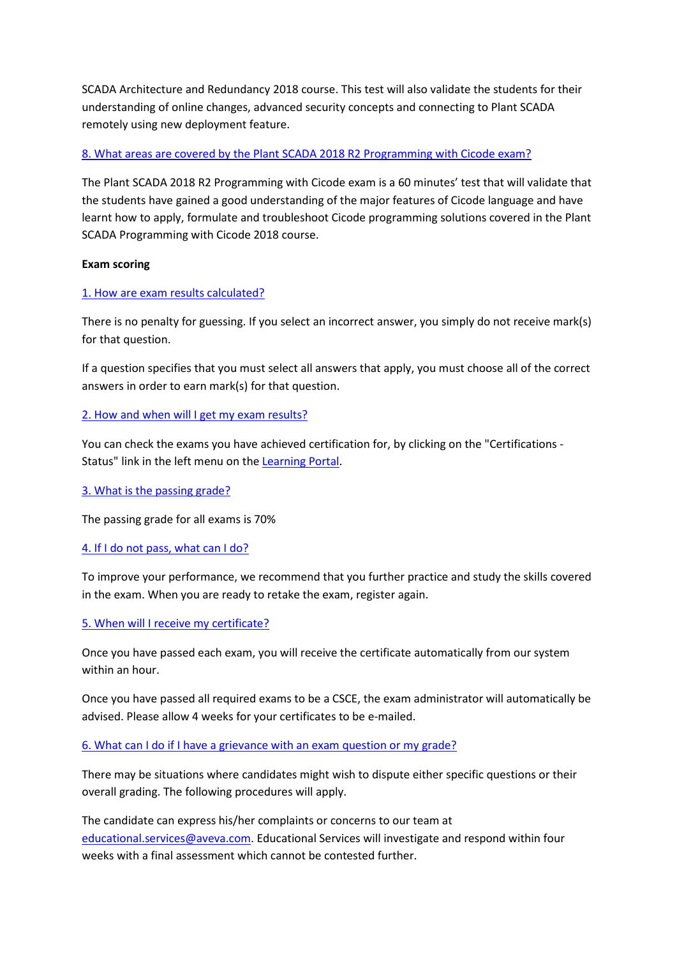SCADA Architecture and Redundancy 2018 course. This test will also validate the students for their understanding of online changes, advanced security concepts and connecting to Plant SCADA remotely using new deployment feature.

# 8. What areas are covered by the Plant SCADA 2018 R2 Programming with Cicode exam?

The Plant SCADA 2018 R2 Programming with Cicode exam is a 60 minutes' test that will validate that the students have gained a good understanding of the major features of Cicode language and have learnt how to apply, formulate and troubleshoot Cicode programming solutions covered in the Plant SCADA Programming with Cicode 2018 course.

## **Exam scoring**

## 1. How are exam results calculated?

There is no penalty for guessing. If you select an incorrect answer, you simply do not receive mark(s) for that question.

If a question specifies that you must select all answers that apply, you must choose all of the correct answers in order to earn mark(s) for that question.

## 2. How and when will I get my exam results?

You can check the exams you have achieved certification for, by clicking on the "Certifications - Status" link in the left menu on the [Learning Portal.](https://industrialtraining.aveva.com/citect/portal/index.cfm?sso=1)

### 3. What is the passing grade?

The passing grade for all exams is 70%

### 4. If I do not pass, what can I do?

To improve your performance, we recommend that you further practice and study the skills covered in the exam. When you are ready to retake the exam, register again.

# 5. When will I receive my certificate?

Once you have passed each exam, you will receive the certificate automatically from our system within an hour.

Once you have passed all required exams to be a CSCE, the exam administrator will automatically be advised. Please allow 4 weeks for your certificates to be e-mailed.

### 6. What can I do if I have a grievance with an exam question or my grade?

There may be situations where candidates might wish to dispute either specific questions or their overall grading. The following procedures will apply.

The candidate can express his/her complaints or concerns to our team at [educational.services@aveva.com.](mailto:educational.services@aveva.com) Educational Services will investigate and respond within four weeks with a final assessment which cannot be contested further.